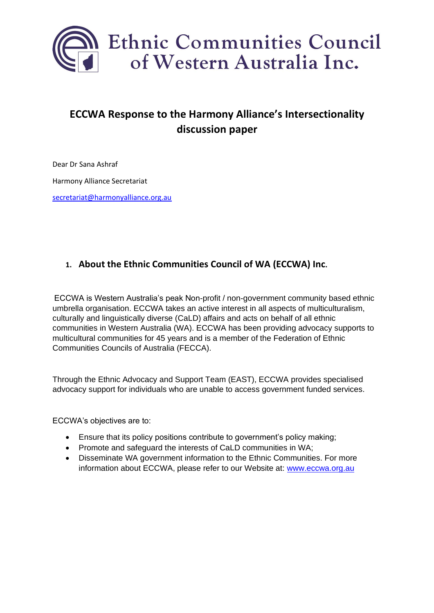

# **ECCWA Response to the Harmony Alliance's Intersectionality discussion paper**

Dear Dr Sana Ashraf Harmony Alliance Secretariat [secretariat@harmonyalliance.org.au](mailto:secretariat@harmonyalliance.org.au)

## **1. About the Ethnic Communities Council of WA (ECCWA) Inc.**

ECCWA is Western Australia's peak Non-profit / non-government community based ethnic umbrella organisation. ECCWA takes an active interest in all aspects of multiculturalism, culturally and linguistically diverse (CaLD) affairs and acts on behalf of all ethnic communities in Western Australia (WA). ECCWA has been providing advocacy supports to multicultural communities for 45 years and is a member of the Federation of Ethnic Communities Councils of Australia (FECCA).

Through the Ethnic Advocacy and Support Team (EAST), ECCWA provides specialised advocacy support for individuals who are unable to access government funded services.

ECCWA's objectives are to:

- Ensure that its policy positions contribute to government's policy making;
- Promote and safeguard the interests of CaLD communities in WA;
- Disseminate WA government information to the Ethnic Communities. For more information about ECCWA, please refer to our Website at: [www.eccwa.org.au](http://www.eccwa.org.au/)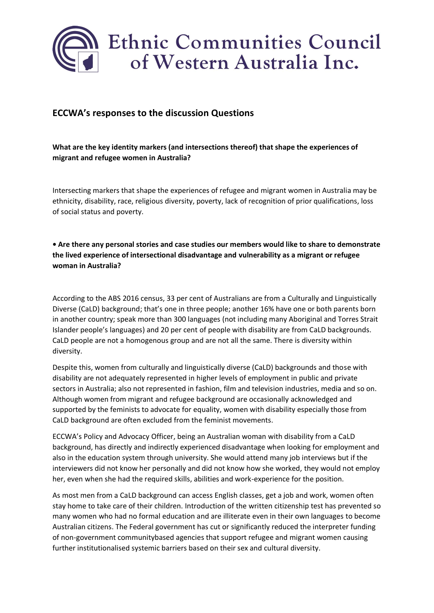

## **ECCWA's responses to the discussion Questions**

### **What are the key identity markers (and intersections thereof) that shape the experiences of migrant and refugee women in Australia?**

Intersecting markers that shape the experiences of refugee and migrant women in Australia may be ethnicity, disability, race, religious diversity, poverty, lack of recognition of prior qualifications, loss of social status and poverty.

### **• Are there any personal stories and case studies our members would like to share to demonstrate the lived experience of intersectional disadvantage and vulnerability as a migrant or refugee woman in Australia?**

According to the ABS 2016 census, 33 per cent of Australians are from a Culturally and Linguistically Diverse (CaLD) background; that's one in three people; another 16% have one or both parents born in another country; speak more than 300 languages (not including many Aboriginal and Torres Strait Islander people's languages) and 20 per cent of people with disability are from CaLD backgrounds. CaLD people are not a homogenous group and are not all the same. There is diversity within diversity.

Despite this, women from culturally and linguistically diverse (CaLD) backgrounds and those with disability are not adequately represented in higher levels of employment in public and private sectors in Australia; also not represented in fashion, film and television industries, media and so on. Although women from migrant and refugee background are occasionally acknowledged and supported by the feminists to advocate for equality, women with disability especially those from CaLD background are often excluded from the feminist movements.

ECCWA's Policy and Advocacy Officer, being an Australian woman with disability from a CaLD background, has directly and indirectly experienced disadvantage when looking for employment and also in the education system through university. She would attend many job interviews but if the interviewers did not know her personally and did not know how she worked, they would not employ her, even when she had the required skills, abilities and work-experience for the position.

As most men from a CaLD background can access English classes, get a job and work, women often stay home to take care of their children. Introduction of the written citizenship test has prevented so many women who had no formal education and are illiterate even in their own languages to become Australian citizens. The Federal government has cut or significantly reduced the interpreter funding of non-government communitybased agencies that support refugee and migrant women causing further institutionalised systemic barriers based on their sex and cultural diversity.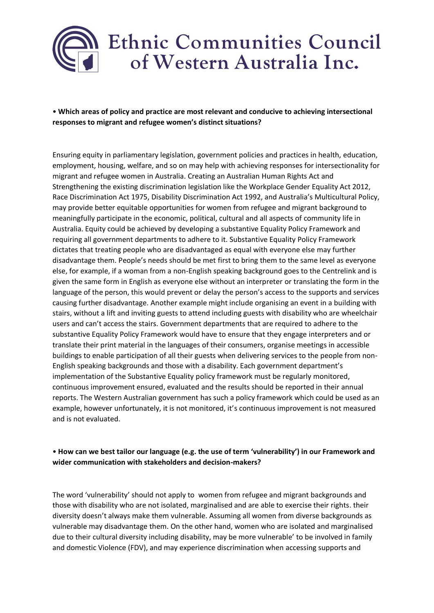

• **Which areas of policy and practice are most relevant and conducive to achieving intersectional responses to migrant and refugee women's distinct situations?**

Ensuring equity in parliamentary legislation, government policies and practices in health, education, employment, housing, welfare, and so on may help with achieving responses for intersectionality for migrant and refugee women in Australia. Creating an Australian Human Rights Act and Strengthening the existing discrimination legislation like the Workplace Gender Equality Act 2012, Race Discrimination Act 1975, Disability Discrimination Act 1992, and Australia's Multicultural Policy, may provide better equitable opportunities for women from refugee and migrant background to meaningfully participate in the economic, political, cultural and all aspects of community life in Australia. Equity could be achieved by developing a substantive Equality Policy Framework and requiring all government departments to adhere to it. Substantive Equality Policy Framework dictates that treating people who are disadvantaged as equal with everyone else may further disadvantage them. People's needs should be met first to bring them to the same level as everyone else, for example, if a woman from a non-English speaking background goes to the Centrelink and is given the same form in English as everyone else without an interpreter or translating the form in the language of the person, this would prevent or delay the person's access to the supports and services causing further disadvantage. Another example might include organising an event in a building with stairs, without a lift and inviting guests to attend including guests with disability who are wheelchair users and can't access the stairs. Government departments that are required to adhere to the substantive Equality Policy Framework would have to ensure that they engage interpreters and or translate their print material in the languages of their consumers, organise meetings in accessible buildings to enable participation of all their guests when delivering services to the people from non-English speaking backgrounds and those with a disability. Each government department's implementation of the Substantive Equality policy framework must be regularly monitored, continuous improvement ensured, evaluated and the results should be reported in their annual reports. The Western Australian government has such a policy framework which could be used as an example, however unfortunately, it is not monitored, it's continuous improvement is not measured and is not evaluated.

#### • **How can we best tailor our language (e.g. the use of term 'vulnerability') in our Framework and wider communication with stakeholders and decision-makers?**

The word 'vulnerability' should not apply to women from refugee and migrant backgrounds and those with disability who are not isolated, marginalised and are able to exercise their rights. their diversity doesn't always make them vulnerable. Assuming all women from diverse backgrounds as vulnerable may disadvantage them. On the other hand, women who are isolated and marginalised due to their cultural diversity including disability, may be more vulnerable' to be involved in family and domestic Violence (FDV), and may experience discrimination when accessing supports and